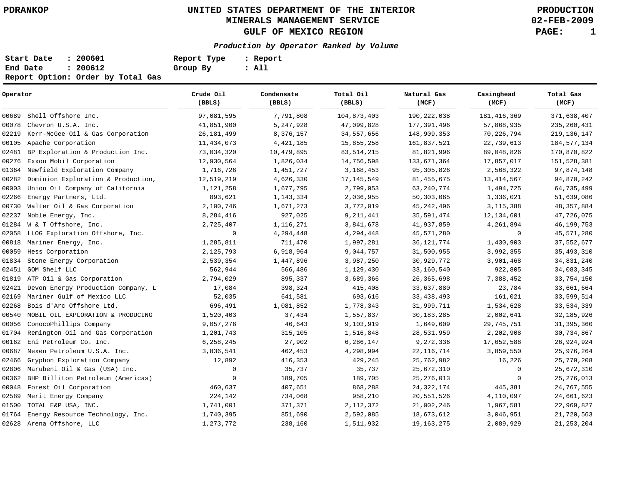**02-FEB-2009**

| Start Date | : 200601                          | Report Type | : Report |
|------------|-----------------------------------|-------------|----------|
| End Date   | : 200612                          | Group By    | : All    |
|            | Report Option: Order by Total Gas |             |          |

| Operator |                                    | Crude Oil<br>(BBLS) | Condensate<br>(BBLS) | Total Oil<br>(BBLS) | Natural Gas<br>(MCF) | Casinghead<br>(MCF) | Total Gas<br>(MCF) |
|----------|------------------------------------|---------------------|----------------------|---------------------|----------------------|---------------------|--------------------|
| 00689    | Shell Offshore Inc.                | 97,081,595          | 7,791,808            | 104,873,403         | 190, 222, 038        | 181, 416, 369       | 371,638,407        |
| 00078    | Chevron U.S.A. Inc.                | 41,851,900          | 5,247,928            | 47,099,828          | 177,391,496          | 57,868,935          | 235, 260, 431      |
| 02219    | Kerr-McGee Oil & Gas Corporation   | 26, 181, 499        | 8,376,157            | 34,557,656          | 148,909,353          | 70,226,794          | 219, 136, 147      |
| 00105    | Apache Corporation                 | 11,434,073          | 4, 421, 185          | 15,855,258          | 161,837,521          | 22,739,613          | 184, 577, 134      |
| 02481    | BP Exploration & Production Inc.   | 73,034,320          | 10,479,895           | 83, 514, 215        | 81,821,996           | 89,048,826          | 170,870,822        |
| 00276    | Exxon Mobil Corporation            | 12,930,564          | 1,826,034            | 14,756,598          | 133,671,364          | 17,857,017          | 151,528,381        |
| 01364    | Newfield Exploration Company       | 1,716,726           | 1,451,727            | 3, 168, 453         | 95, 305, 826         | 2,568,322           | 97,874,148         |
| 00282    | Dominion Exploration & Production, | 12,519,219          | 4,626,330            | 17, 145, 549        | 81, 455, 675         | 13, 414, 567        | 94,870,242         |
| 00003    | Union Oil Company of California    | 1,121,258           | 1,677,795            | 2,799,053           | 63, 240, 774         | 1,494,725           | 64,735,499         |
| 02266    | Energy Partners, Ltd.              | 893,621             | 1,143,334            | 2,036,955           | 50, 303, 065         | 1,336,021           | 51,639,086         |
| 00730    | Walter Oil & Gas Corporation       | 2,100,746           | 1,671,273            | 3,772,019           | 45, 242, 496         | 3, 115, 388         | 48, 357, 884       |
| 02237    | Noble Energy, Inc.                 | 8,284,416           | 927,025              | 9, 211, 441         | 35,591,474           | 12, 134, 601        | 47,726,075         |
| 01284    | W & T Offshore, Inc.               | 2,725,407           | 1,116,271            | 3,841,678           | 41,937,859           | 4,261,894           | 46, 199, 753       |
| 02058    | LLOG Exploration Offshore, Inc.    | $\mathbf 0$         | 4,294,448            | 4,294,448           | 45,571,280           | $\mathbf 0$         | 45, 571, 280       |
| 00818    | Mariner Energy, Inc.               | 1,285,811           | 711,470              | 1,997,281           | 36, 121, 774         | 1,430,903           | 37,552,677         |
| 00059    | Hess Corporation                   | 2,125,793           | 6,918,964            | 9,044,757           | 31,500,955           | 3,992,355           | 35, 493, 310       |
| 01834    | Stone Energy Corporation           | 2,539,354           | 1,447,896            | 3,987,250           | 30,929,772           | 3,901,468           | 34,831,240         |
| 02451    | GOM Shelf LLC                      | 562,944             | 566,486              | 1,129,430           | 33,160,540           | 922,805             | 34,083,345         |
| 01819    | ATP Oil & Gas Corporation          | 2,794,029           | 895,337              | 3,689,366           | 26, 365, 698         | 7,388,452           | 33,754,150         |
| 02421    | Devon Energy Production Company, L | 17,084              | 398,324              | 415,408             | 33,637,880           | 23,784              | 33,661,664         |
| 02169    | Mariner Gulf of Mexico LLC         | 52,035              | 641,581              | 693,616             | 33, 438, 493         | 161,021             | 33,599,514         |
| 02268    | Bois d'Arc Offshore Ltd.           | 696,491             | 1,081,852            | 1,778,343           | 31,999,711           | 1,534,628           | 33, 534, 339       |
| 00540    | MOBIL OIL EXPLORATION & PRODUCING  | 1,520,403           | 37,434               | 1,557,837           | 30, 183, 285         | 2,002,641           | 32, 185, 926       |
| 00056    | ConocoPhillips Company             | 9,057,276           | 46,643               | 9,103,919           | 1,649,609            | 29, 745, 751        | 31, 395, 360       |
| 01704    | Remington Oil and Gas Corporation  | 1,201,743           | 315,105              | 1,516,848           | 28,531,959           | 2,202,908           | 30,734,867         |
| 00162    | Eni Petroleum Co. Inc.             | 6,258,245           | 27,902               | 6,286,147           | 9,272,336            | 17,652,588          | 26,924,924         |
| 00687    | Nexen Petroleum U.S.A. Inc.        | 3,836,541           | 462,453              | 4,298,994           | 22, 116, 714         | 3,859,550           | 25,976,264         |
| 02466    | Gryphon Exploration Company        | 12,892              | 416,353              | 429,245             | 25,762,982           | 16,226              | 25,779,208         |
| 02806    | Marubeni Oil & Gas (USA) Inc.      | $\mathbf 0$         | 35,737               | 35,737              | 25,672,310           | $\mathbf 0$         | 25,672,310         |
| 00362    | BHP Billiton Petroleum (Americas)  | $\mathbf 0$         | 189,705              | 189,705             | 25, 276, 013         | 0                   | 25, 276, 013       |
| 00048    | Forest Oil Corporation             | 460,637             | 407,651              | 868,288             | 24, 322, 174         | 445,381             | 24,767,555         |
| 02589    | Merit Energy Company               | 224,142             | 734,068              | 958,210             | 20,551,526           | 4,110,097           | 24,661,623         |
| 01500    | TOTAL E&P USA, INC.                | 1,741,001           | 371,371              | 2, 112, 372         | 21,002,246           | 1,967,581           | 22,969,827         |
| 01764    | Energy Resource Technology, Inc.   | 1,740,395           | 851,690              | 2,592,085           | 18,673,612           | 3,046,951           | 21,720,563         |
|          | 02628 Arena Offshore, LLC          | 1,273,772           | 238,160              | 1,511,932           | 19, 163, 275         | 2,089,929           | 21, 253, 204       |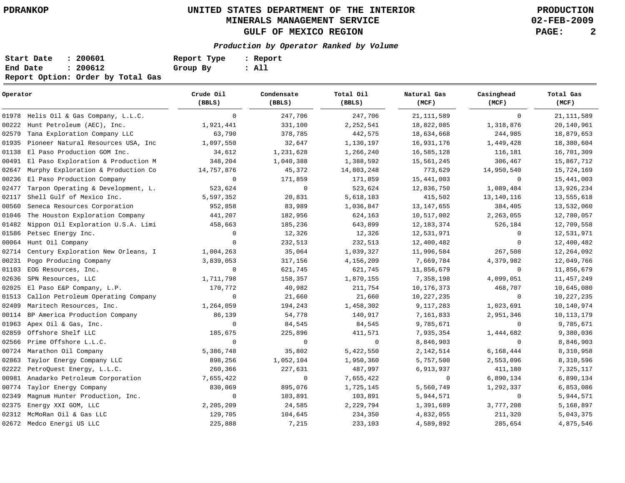**02-FEB-2009**

| Start Date | : 200601                          | Report Type | : Report |
|------------|-----------------------------------|-------------|----------|
| End Date   | : 200612                          | Group By    | : All    |
|            | Report Option: Order by Total Gas |             |          |

| Operator |                                       | Crude Oil<br>(BBLS) | Condensate<br>(BBLS) | Total Oil<br>(BBLS) | Natural Gas<br>(MCF) | Casinghead<br>(MCF) | Total Gas<br>(MCF) |
|----------|---------------------------------------|---------------------|----------------------|---------------------|----------------------|---------------------|--------------------|
|          | 01978 Helis Oil & Gas Company, L.L.C. | $\mathbf 0$         | 247,706              | 247,706             | 21, 111, 589         | $\mathbf{0}$        | 21, 111, 589       |
| 00222    | Hunt Petroleum (AEC), Inc.            | 1,921,441           | 331,100              | 2, 252, 541         | 18,822,085           | 1,318,876           | 20,140,961         |
| 02579    | Tana Exploration Company LLC          | 63,790              | 378,785              | 442,575             | 18,634,668           | 244,985             | 18,879,653         |
| 01935    | Pioneer Natural Resources USA, Inc    | 1,097,550           | 32,647               | 1,130,197           | 16,931,176           | 1,449,428           | 18,380,604         |
| 01138    | El Paso Production GOM Inc.           | 34,612              | 1,231,628            | 1,266,240           | 16,585,128           | 116,181             | 16,701,309         |
| 00491    | El Paso Exploration & Production M    | 348,204             | 1,040,388            | 1,388,592           | 15,561,245           | 306,467             | 15,867,712         |
| 02647    | Murphy Exploration & Production Co    | 14,757,876          | 45,372               | 14,803,248          | 773,629              | 14,950,540          | 15,724,169         |
| 00236    | El Paso Production Company            | $\mathbf 0$         | 171,859              | 171,859             | 15,441,003           | $\mathbf{0}$        | 15,441,003         |
| 02477    | Tarpon Operating & Development, L.    | 523,624             | $\mathbf 0$          | 523,624             | 12,836,750           | 1,089,484           | 13,926,234         |
| 02117    | Shell Gulf of Mexico Inc.             | 5,597,352           | 20,831               | 5,618,183           | 415,502              | 13,140,116          | 13,555,618         |
| 00560    | Seneca Resources Corporation          | 952,858             | 83,989               | 1,036,847           | 13, 147, 655         | 384,405             | 13,532,060         |
| 01046    | The Houston Exploration Company       | 441,207             | 182,956              | 624,163             | 10,517,002           | 2,263,055           | 12,780,057         |
| 01482    | Nippon Oil Exploration U.S.A. Limi    | 458,663             | 185,236              | 643,899             | 12, 183, 374         | 526,184             | 12,709,558         |
| 01586    | Petsec Energy Inc.                    | $\mathbf 0$         | 12,326               | 12,326              | 12,531,971           | 0                   | 12,531,971         |
| 00064    | Hunt Oil Company                      | $\Omega$            | 232,513              | 232,513             | 12,400,482           | $\mathbf{0}$        | 12,400,482         |
| 02714    | Century Exploration New Orleans, I    | 1,004,263           | 35,064               | 1,039,327           | 11,996,584           | 267,508             | 12,264,092         |
| 00231    | Pogo Producing Company                | 3,839,053           | 317,156              | 4,156,209           | 7,669,784            | 4,379,982           | 12,049,766         |
| 01103    | EOG Resources, Inc.                   | $\mathbf 0$         | 621,745              | 621,745             | 11,856,679           | $\mathbf{0}$        | 11,856,679         |
| 02636    | SPN Resources, LLC                    | 1,711,798           | 158,357              | 1,870,155           | 7,358,198            | 4,099,051           | 11, 457, 249       |
| 02025    | El Paso E&P Company, L.P.             | 170,772             | 40,982               | 211,754             | 10,176,373           | 468,707             | 10,645,080         |
| 01513    | Callon Petroleum Operating Company    | $\mathbf 0$         | 21,660               | 21,660              | 10, 227, 235         | $\mathbf 0$         | 10, 227, 235       |
| 02409    | Maritech Resources, Inc.              | 1,264,059           | 194,243              | 1,458,302           | 9,117,283            | 1,023,691           | 10,140,974         |
| 00114    | BP America Production Company         | 86,139              | 54,778               | 140,917             | 7,161,833            | 2,951,346           | 10, 113, 179       |
| 01963    | Apex Oil & Gas, Inc.                  | $\mathbf 0$         | 84,545               | 84,545              | 9,785,671            | $\mathbf 0$         | 9,785,671          |
| 02859    | Offshore Shelf LLC                    | 185,675             | 225,896              | 411,571             | 7,935,354            | 1,444,682           | 9,380,036          |
| 02566    | Prime Offshore L.L.C.                 | $\mathbf 0$         | $\mathbf 0$          | $\mathbf 0$         | 8,846,903            | $\mathbf 0$         | 8,846,903          |
| 00724    | Marathon Oil Company                  | 5,386,748           | 35,802               | 5,422,550           | 2, 142, 514          | 6,168,444           | 8,310,958          |
| 02863    | Taylor Energy Company LLC             | 898,256             | 1,052,104            | 1,950,360           | 5,757,500            | 2,553,096           | 8,310,596          |
| 02222    | PetroQuest Energy, L.L.C.             | 260,366             | 227,631              | 487,997             | 6,913,937            | 411,180             | 7,325,117          |
| 00981    | Anadarko Petroleum Corporation        | 7,655,422           | 0                    | 7,655,422           | 0                    | 6,890,134           | 6,890,134          |
| 00774    | Taylor Energy Company                 | 830,069             | 895,076              | 1,725,145           | 5,560,749            | 1,292,337           | 6,853,086          |
| 02349    | Magnum Hunter Production, Inc.        | $\mathbf 0$         | 103,891              | 103,891             | 5,944,571            | $\mathbf{0}$        | 5,944,571          |
| 02375    | Energy XXI GOM, LLC                   | 2,205,209           | 24,585               | 2,229,794           | 1,391,689            | 3,777,208           | 5,168,897          |
| 02312    | McMoRan Oil & Gas LLC                 | 129,705             | 104,645              | 234,350             | 4,832,055            | 211,320             | 5,043,375          |
|          | 02672 Medco Energi US LLC             | 225,888             | 7,215                | 233,103             | 4,589,892            | 285,654             | 4,875,546          |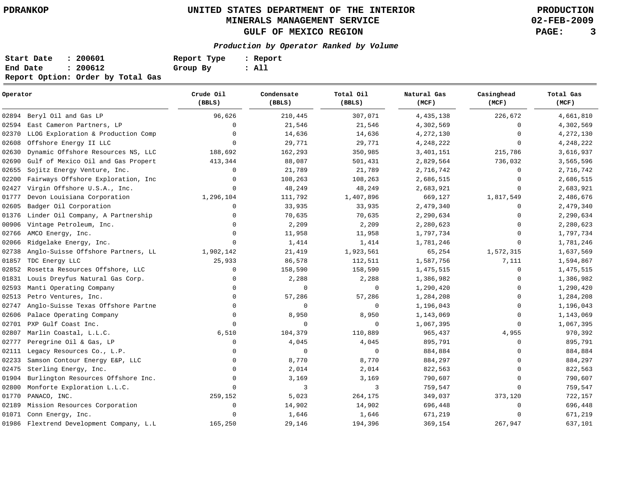**02-FEB-2009**

| Start Date | : 200601                          | Report Type | : Report |
|------------|-----------------------------------|-------------|----------|
| End Date   | : 200612                          | Group By    | : All    |
|            | Report Option: Order by Total Gas |             |          |

| Operator |                                          | Crude Oil<br>(BBLS) | Condensate<br>(BBLS) | Total Oil<br>(BBLS) | Natural Gas<br>(MCF) | Casinghead<br>(MCF) | Total Gas<br>(MCF) |
|----------|------------------------------------------|---------------------|----------------------|---------------------|----------------------|---------------------|--------------------|
|          | 02894 Beryl Oil and Gas LP               | 96,626              | 210,445              | 307,071             | 4, 435, 138          | 226,672             | 4,661,810          |
| 02594    | East Cameron Partners, LP                | $\Omega$            | 21,546               | 21,546              | 4,302,569            | $\Omega$            | 4,302,569          |
| 02370    | LLOG Exploration & Production Comp       | $\Omega$            | 14,636               | 14,636              | 4,272,130            | $\Omega$            | 4,272,130          |
| 02608    | Offshore Energy II LLC                   | $\Omega$            | 29,771               | 29,771              | 4,248,222            | $\Omega$            | 4,248,222          |
| 02630    | Dynamic Offshore Resources NS, LLC       | 188,692             | 162,293              | 350,985             | 3, 401, 151          | 215,786             | 3,616,937          |
| 02690    | Gulf of Mexico Oil and Gas Propert       | 413,344             | 88,087               | 501,431             | 2,829,564            | 736,032             | 3,565,596          |
| 02655    | Sojitz Energy Venture, Inc.              | $\Omega$            | 21,789               | 21,789              | 2,716,742            | $\Omega$            | 2,716,742          |
| 02200    | Fairways Offshore Exploration, Inc       | $\Omega$            | 108,263              | 108,263             | 2,686,515            | $\Omega$            | 2,686,515          |
| 02427    | Virgin Offshore U.S.A., Inc.             | $\Omega$            | 48,249               | 48,249              | 2,683,921            | $\Omega$            | 2,683,921          |
| 01777    | Devon Louisiana Corporation              | 1,296,104           | 111,792              | 1,407,896           | 669,127              | 1,817,549           | 2,486,676          |
| 02605    | Badger Oil Corporation                   | 0                   | 33,935               | 33,935              | 2,479,340            | 0                   | 2,479,340          |
| 01376    | Linder Oil Company, A Partnership        | $\Omega$            | 70,635               | 70,635              | 2,290,634            | $\Omega$            | 2,290,634          |
| 00906    | Vintage Petroleum, Inc.                  | $\Omega$            | 2,209                | 2,209               | 2,280,623            | $\Omega$            | 2,280,623          |
| 02766    | AMCO Energy, Inc.                        | $\Omega$            | 11,958               | 11,958              | 1,797,734            | $\Omega$            | 1,797,734          |
| 02066    | Ridgelake Energy, Inc.                   | $\Omega$            | 1,414                | 1,414               | 1,781,246            | $\Omega$            | 1,781,246          |
| 02738    | Anglo-Suisse Offshore Partners, LL       | 1,902,142           | 21,419               | 1,923,561           | 65,254               | 1,572,315           | 1,637,569          |
| 01857    | TDC Energy LLC                           | 25,933              | 86,578               | 112,511             | 1,587,756            | 7,111               | 1,594,867          |
| 02852    | Rosetta Resources Offshore, LLC          | 0                   | 158,590              | 158,590             | 1,475,515            | 0                   | 1,475,515          |
| 01831    | Louis Dreyfus Natural Gas Corp.          | $\mathbf 0$         | 2,288                | 2,288               | 1,386,982            | 0                   | 1,386,982          |
| 02593    | Manti Operating Company                  | $\mathbf 0$         | 0                    | 0                   | 1,290,420            | $\Omega$            | 1,290,420          |
| 02513    | Petro Ventures, Inc.                     | $\Omega$            | 57,286               | 57,286              | 1,284,208            | $\Omega$            | 1,284,208          |
| 02747    | Anglo-Suisse Texas Offshore Partne       | $\Omega$            | 0                    | 0                   | 1,196,043            | $\Omega$            | 1,196,043          |
| 02606    | Palace Operating Company                 | $\Omega$            | 8,950                | 8,950               | 1,143,069            | $\Omega$            | 1,143,069          |
| 02701    | PXP Gulf Coast Inc.                      | $\Omega$            | $\mathbf 0$          | $\mathbf 0$         | 1,067,395            | $\Omega$            | 1,067,395          |
| 02807    | Marlin Coastal, L.L.C.                   | 6,510               | 104,379              | 110,889             | 965,437              | 4,955               | 970,392            |
| 02777    | Peregrine Oil & Gas, LP                  | $\Omega$            | 4,045                | 4,045               | 895,791              | $\Omega$            | 895,791            |
| 02111    | Legacy Resources Co., L.P.               | $\Omega$            | $\mathbf 0$          | $\mathbf 0$         | 884,884              | $\Omega$            | 884,884            |
| 02233    | Samson Contour Energy E&P, LLC           | $\Omega$            | 8,770                | 8,770               | 884,297              | $\Omega$            | 884,297            |
| 02475    | Sterling Energy, Inc.                    | $\mathbf 0$         | 2,014                | 2,014               | 822,563              | $\Omega$            | 822,563            |
| 01904    | Burlington Resources Offshore Inc.       | $\Omega$            | 3,169                | 3,169               | 790,607              | $\Omega$            | 790,607            |
| 02800    | Monforte Exploration L.L.C.              | $\Omega$            | 3                    | 3                   | 759,547              | $\Omega$            | 759,547            |
| 01770    | PANACO, INC.                             | 259,152             | 5,023                | 264,175             | 349,037              | 373,120             | 722,157            |
| 02189    | Mission Resources Corporation            | $\mathbf 0$         | 14,902               | 14,902              | 696,448              | $\Omega$            | 696,448            |
| 01071    | Conn Energy, Inc.                        | $\Omega$            | 1,646                | 1,646               | 671,219              | $\Omega$            | 671,219            |
|          | 01986 Flextrend Development Company, L.L | 165,250             | 29,146               | 194,396             | 369,154              | 267,947             | 637,101            |